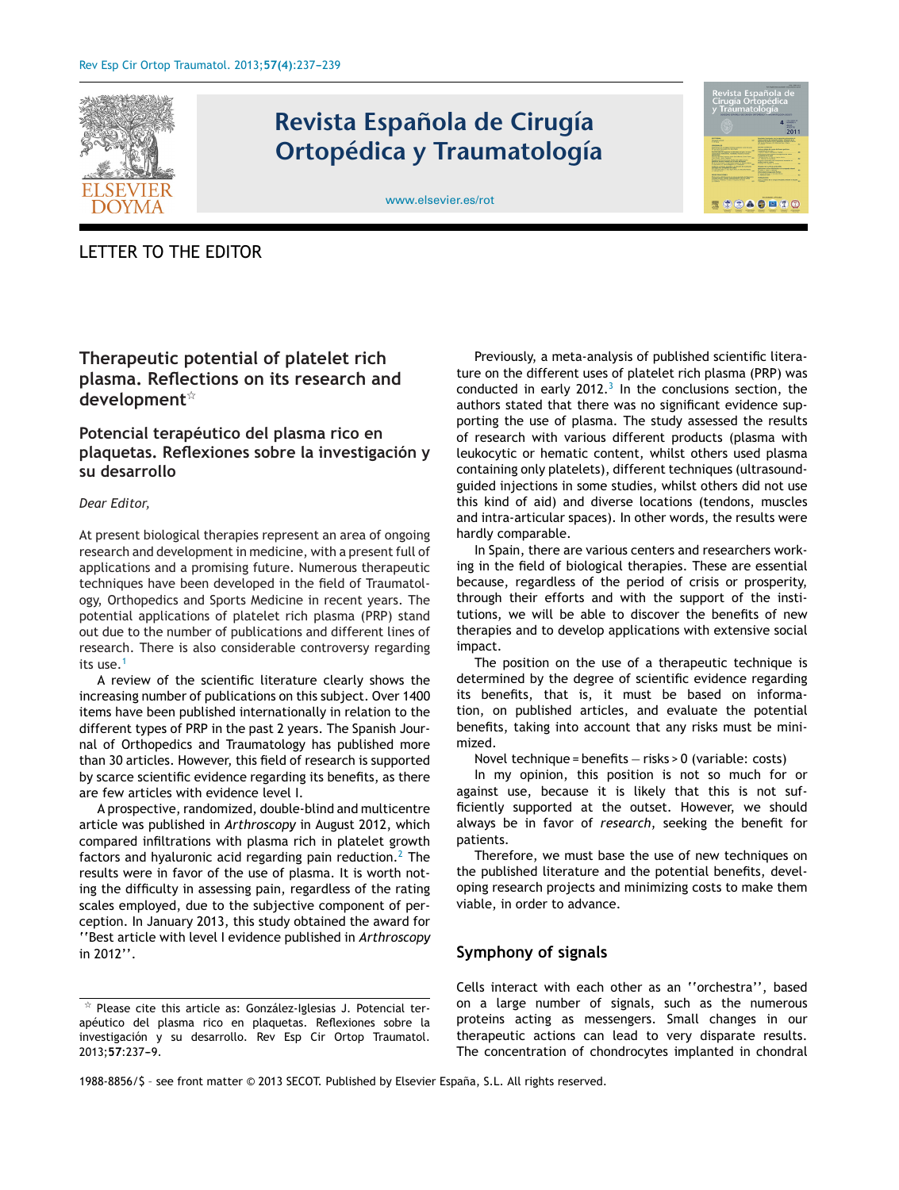

# **Revista Española de Cirugía Ortopédica y Traumatología**



#### [www.elsevier.es/rot](http://www.elsevier.es/rot)

## LETTER TO THE EDITOR

# **Therapeutic potential of platelet rich plasma. Reflections on its research and development**-

## **Potencial terapéutico del plasma rico en plaquetas. Reflexiones sobre la investigación y su desarrollo**

#### *Dear Editor,*

At present biological therapies represent an area of ongoing research and development in medicine, with a present full of applications and a promising future. Numerous therapeutic techniques have been developed in the field of Traumatology, Orthopedics and Sports Medicine in recent years. The potential applications of platelet rich plasma (PRP) stand out due to the number of publications and different lines of research. There is also considerable controversy regarding its use.<sup>[1](#page-1-0)</sup>

A review of the scientific literature clearly shows the increasing number of publications on this subject. Over 1400 items have been published internationally in relation to the different types of PRP in the past 2 years. The Spanish Journal of Orthopedics and Traumatology has published more than 30 articles. However, this field of research is supported by scarce scientific evidence regarding its benefits, as there are few articles with evidence level I.

A prospective, randomized, double-blind and multicentre article was published in *Arthroscopy* in August 2012, which compared infiltrations with plasma rich in platelet growth factors and hyaluronic acid regarding pain reduction.<sup>[2](#page-1-0)</sup> The results were in favor of the use of plasma. It is worth noting the difficulty in assessing pain, regardless of the rating scales employed, due to the subjective component of perception. In January 2013, this study obtained the award for ''Best article with level I evidence published in *Arthroscopy* in 2012''.

Previously, a meta-analysis of published scientific literature on the different uses of platelet rich plasma (PRP) was conducted in early  $2012.<sup>3</sup>$  $2012.<sup>3</sup>$  $2012.<sup>3</sup>$  In the conclusions section, the authors stated that there was no significant evidence supporting the use of plasma. The study assessed the results of research with various different products (plasma with leukocytic or hematic content, whilst others used plasma containing only platelets), different techniques (ultrasoundguided injections in some studies, whilst others did not use this kind of aid) and diverse locations (tendons, muscles and intra-articular spaces). In other words, the results were hardly comparable.

In Spain, there are various centers and researchers working in the field of biological therapies. These are essential because, regardless of the period of crisis or prosperity, through their efforts and with the support of the institutions, we will be able to discover the benefits of new therapies and to develop applications with extensive social impact.

The position on the use of a therapeutic technique is determined by the degree of scientific evidence regarding its benefits, that is, it must be based on information, on published articles, and evaluate the potential benefits, taking into account that any risks must be minimized.

Novel technique = benefits − risks > 0 (variable: costs)

In my opinion, this position is not so much for or against use, because it is likely that this is not sufficiently supported at the outset. However, we should always be in favor of *research*, seeking the benefit for patients.

Therefore, we must base the use of new techniques on the published literature and the potential benefits, developing research projects and minimizing costs to make them viable, in order to advance.

## **Symphony of signals**

Cells interact with each other as an ''orchestra'', based on a large number of signals, such as the numerous proteins acting as messengers. Small changes in our therapeutic actions can lead to very disparate results. The concentration of chondrocytes implanted in chondral

 $\star$  Please cite this article as: González-Iglesias J. Potencial terapéutico del plasma rico en plaquetas. Reflexiones sobre la investigación y su desarrollo. Rev Esp Cir Ortop Traumatol. 2013;57:237-9.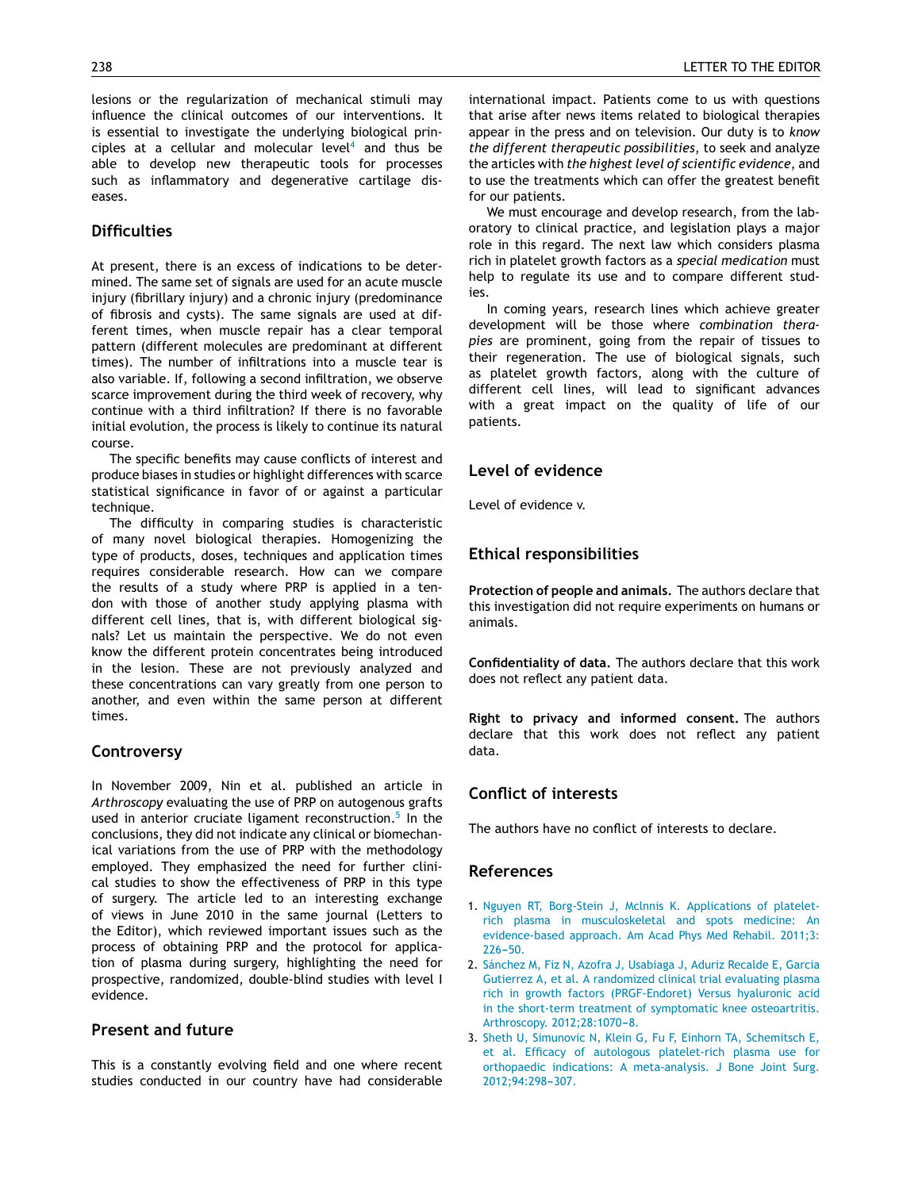<span id="page-1-0"></span>lesions or the regularization of mechanical stimuli may influence the clinical outcomes of our interventions. It is essential to investigate the underlying biological prin-ciples at a cellular and molecular level<sup>[4](#page-2-0)</sup> and thus be able to develop new therapeutic tools for processes such as inflammatory and degenerative cartilage diseases.

#### **Difficulties**

At present, there is an excess of indications to be determined. The same set of signals are used for an acute muscle injury (fibrillary injury) and a chronic injury (predominance of fibrosis and cysts). The same signals are used at different times, when muscle repair has a clear temporal pattern (different molecules are predominant at different times). The number of infiltrations into a muscle tear is also variable. If, following a second infiltration, we observe scarce improvement during the third week of recovery, why continue with a third infiltration? If there is no favorable initial evolution, the process is likely to continue its natural course.

The specific benefits may cause conflicts of interest and produce biases in studies or highlight differences with scarce statistical significance in favor of or against a particular technique.

The difficulty in comparing studies is characteristic of many novel biological therapies. Homogenizing the type of products, doses, techniques and application times requires considerable research. How can we compare the results of a study where PRP is applied in a tendon with those of another study applying plasma with different cell lines, that is, with different biological signals? Let us maintain the perspective. We do not even know the different protein concentrates being introduced in the lesion. These are not previously analyzed and these concentrations can vary greatly from one person to another, and even within the same person at different times.

## **Controversy**

In November 2009, Nin et al. published an article in *Arthroscopy* evaluating the use of PRP on autogenous grafts used in anterior cruciate ligament reconstruction.<sup>[5](#page-2-0)</sup> In the conclusions, they did not indicate any clinical or biomechanical variations from the use of PRP with the methodology employed. They emphasized the need for further clinical studies to show the effectiveness of PRP in this type of surgery. The article led to an interesting exchange of views in June 2010 in the same journal (Letters to the Editor), which reviewed important issues such as the process of obtaining PRP and the protocol for application of plasma during surgery, highlighting the need for prospective, randomized, double-blind studies with level I evidence.

## **Present and future**

This is a constantly evolving field and one where recent studies conducted in our country have had considerable

international impact. Patients come to us with questions that arise after news items related to biological therapies appear in the press and on television. Our duty is to *know the different therapeutic possibilities*, to seek and analyze the articles with *the highest level of scientific evidence*, and to use the treatments which can offer the greatest benefit for our patients.

We must encourage and develop research, from the laboratory to clinical practice, and legislation plays a major role in this regard. The next law which considers plasma rich in platelet growth factors as a *special medication* must help to regulate its use and to compare different studies.

In coming years, research lines which achieve greater development will be those where *combination therapies* are prominent, going from the repair of tissues to their regeneration. The use of biological signals, such as platelet growth factors, along with the culture of different cell lines, will lead to significant advances with a great impact on the quality of life of our patients.

#### **Level of evidence**

Level of evidence v.

## **Ethical responsibilities**

**Protection of people and animals.** The authors declare that this investigation did not require experiments on humans or animals.

**Confidentiality of data.** The authors declare that this work does not reflect any patient data.

**Right to privacy and informed consent.** The authors declare that this work does not reflect any patient data.

## **Conflict of interests**

The authors have no conflict of interests to declare.

## **References**

- 1. [Nguyen](http://refhub.elsevier.com/S1988-8856(13)00051-5/sbref0005) [RT,](http://refhub.elsevier.com/S1988-8856(13)00051-5/sbref0005) [Borg-Stein](http://refhub.elsevier.com/S1988-8856(13)00051-5/sbref0005) [J,](http://refhub.elsevier.com/S1988-8856(13)00051-5/sbref0005) [Mclnnis](http://refhub.elsevier.com/S1988-8856(13)00051-5/sbref0005) [K.](http://refhub.elsevier.com/S1988-8856(13)00051-5/sbref0005) [Applications](http://refhub.elsevier.com/S1988-8856(13)00051-5/sbref0005) [of](http://refhub.elsevier.com/S1988-8856(13)00051-5/sbref0005) [platelet](http://refhub.elsevier.com/S1988-8856(13)00051-5/sbref0005)[rich](http://refhub.elsevier.com/S1988-8856(13)00051-5/sbref0005) [plasma](http://refhub.elsevier.com/S1988-8856(13)00051-5/sbref0005) [in](http://refhub.elsevier.com/S1988-8856(13)00051-5/sbref0005) [musculoskeletal](http://refhub.elsevier.com/S1988-8856(13)00051-5/sbref0005) [and](http://refhub.elsevier.com/S1988-8856(13)00051-5/sbref0005) [spots](http://refhub.elsevier.com/S1988-8856(13)00051-5/sbref0005) [medicine:](http://refhub.elsevier.com/S1988-8856(13)00051-5/sbref0005) [An](http://refhub.elsevier.com/S1988-8856(13)00051-5/sbref0005) [evidence-based](http://refhub.elsevier.com/S1988-8856(13)00051-5/sbref0005) [approach.](http://refhub.elsevier.com/S1988-8856(13)00051-5/sbref0005) [Am](http://refhub.elsevier.com/S1988-8856(13)00051-5/sbref0005) [Acad](http://refhub.elsevier.com/S1988-8856(13)00051-5/sbref0005) [Phys](http://refhub.elsevier.com/S1988-8856(13)00051-5/sbref0005) [Med](http://refhub.elsevier.com/S1988-8856(13)00051-5/sbref0005) [Rehabil.](http://refhub.elsevier.com/S1988-8856(13)00051-5/sbref0005) [2011;3:](http://refhub.elsevier.com/S1988-8856(13)00051-5/sbref0005)  $226 - 50.$
- 2. [Sánchez](http://refhub.elsevier.com/S1988-8856(13)00051-5/sbref0010) [M,](http://refhub.elsevier.com/S1988-8856(13)00051-5/sbref0010) [Fiz](http://refhub.elsevier.com/S1988-8856(13)00051-5/sbref0010) [N,](http://refhub.elsevier.com/S1988-8856(13)00051-5/sbref0010) [Azofra](http://refhub.elsevier.com/S1988-8856(13)00051-5/sbref0010) [J,](http://refhub.elsevier.com/S1988-8856(13)00051-5/sbref0010) [Usabiaga](http://refhub.elsevier.com/S1988-8856(13)00051-5/sbref0010) [J,](http://refhub.elsevier.com/S1988-8856(13)00051-5/sbref0010) [Aduriz](http://refhub.elsevier.com/S1988-8856(13)00051-5/sbref0010) [Recalde](http://refhub.elsevier.com/S1988-8856(13)00051-5/sbref0010) [E,](http://refhub.elsevier.com/S1988-8856(13)00051-5/sbref0010) [Garcia](http://refhub.elsevier.com/S1988-8856(13)00051-5/sbref0010) [Gutierrez](http://refhub.elsevier.com/S1988-8856(13)00051-5/sbref0010) [A,](http://refhub.elsevier.com/S1988-8856(13)00051-5/sbref0010) [et](http://refhub.elsevier.com/S1988-8856(13)00051-5/sbref0010) [al.](http://refhub.elsevier.com/S1988-8856(13)00051-5/sbref0010) [A](http://refhub.elsevier.com/S1988-8856(13)00051-5/sbref0010) [randomized](http://refhub.elsevier.com/S1988-8856(13)00051-5/sbref0010) [clinical](http://refhub.elsevier.com/S1988-8856(13)00051-5/sbref0010) [trial](http://refhub.elsevier.com/S1988-8856(13)00051-5/sbref0010) [evaluating](http://refhub.elsevier.com/S1988-8856(13)00051-5/sbref0010) [plasma](http://refhub.elsevier.com/S1988-8856(13)00051-5/sbref0010) [rich](http://refhub.elsevier.com/S1988-8856(13)00051-5/sbref0010) [in](http://refhub.elsevier.com/S1988-8856(13)00051-5/sbref0010) [growth](http://refhub.elsevier.com/S1988-8856(13)00051-5/sbref0010) [factors](http://refhub.elsevier.com/S1988-8856(13)00051-5/sbref0010) [\(PRGF-Endoret\)](http://refhub.elsevier.com/S1988-8856(13)00051-5/sbref0010) [Versus](http://refhub.elsevier.com/S1988-8856(13)00051-5/sbref0010) [hyaluronic](http://refhub.elsevier.com/S1988-8856(13)00051-5/sbref0010) [acid](http://refhub.elsevier.com/S1988-8856(13)00051-5/sbref0010) [in](http://refhub.elsevier.com/S1988-8856(13)00051-5/sbref0010) [the](http://refhub.elsevier.com/S1988-8856(13)00051-5/sbref0010) [short-term](http://refhub.elsevier.com/S1988-8856(13)00051-5/sbref0010) [treatment](http://refhub.elsevier.com/S1988-8856(13)00051-5/sbref0010) [of](http://refhub.elsevier.com/S1988-8856(13)00051-5/sbref0010) [symptomatic](http://refhub.elsevier.com/S1988-8856(13)00051-5/sbref0010) [knee](http://refhub.elsevier.com/S1988-8856(13)00051-5/sbref0010) [osteoartritis.](http://refhub.elsevier.com/S1988-8856(13)00051-5/sbref0010) [Arthroscopy.](http://refhub.elsevier.com/S1988-8856(13)00051-5/sbref0010) 2012;28:1070-8.
- 3. [Sheth](http://refhub.elsevier.com/S1988-8856(13)00051-5/sbref0015) [U,](http://refhub.elsevier.com/S1988-8856(13)00051-5/sbref0015) [Simunovic](http://refhub.elsevier.com/S1988-8856(13)00051-5/sbref0015) [N,](http://refhub.elsevier.com/S1988-8856(13)00051-5/sbref0015) [Klein](http://refhub.elsevier.com/S1988-8856(13)00051-5/sbref0015) [G,](http://refhub.elsevier.com/S1988-8856(13)00051-5/sbref0015) [Fu](http://refhub.elsevier.com/S1988-8856(13)00051-5/sbref0015) [F,](http://refhub.elsevier.com/S1988-8856(13)00051-5/sbref0015) [Einhorn](http://refhub.elsevier.com/S1988-8856(13)00051-5/sbref0015) [TA,](http://refhub.elsevier.com/S1988-8856(13)00051-5/sbref0015) [Schemitsch](http://refhub.elsevier.com/S1988-8856(13)00051-5/sbref0015) [E,](http://refhub.elsevier.com/S1988-8856(13)00051-5/sbref0015) [et](http://refhub.elsevier.com/S1988-8856(13)00051-5/sbref0015) [al.](http://refhub.elsevier.com/S1988-8856(13)00051-5/sbref0015) [Efficacy](http://refhub.elsevier.com/S1988-8856(13)00051-5/sbref0015) [of](http://refhub.elsevier.com/S1988-8856(13)00051-5/sbref0015) [autologous](http://refhub.elsevier.com/S1988-8856(13)00051-5/sbref0015) [platelet-rich](http://refhub.elsevier.com/S1988-8856(13)00051-5/sbref0015) [plasma](http://refhub.elsevier.com/S1988-8856(13)00051-5/sbref0015) [use](http://refhub.elsevier.com/S1988-8856(13)00051-5/sbref0015) [for](http://refhub.elsevier.com/S1988-8856(13)00051-5/sbref0015) [orthopaedic](http://refhub.elsevier.com/S1988-8856(13)00051-5/sbref0015) [indications:](http://refhub.elsevier.com/S1988-8856(13)00051-5/sbref0015) [A](http://refhub.elsevier.com/S1988-8856(13)00051-5/sbref0015) [meta-analysis.](http://refhub.elsevier.com/S1988-8856(13)00051-5/sbref0015) [J](http://refhub.elsevier.com/S1988-8856(13)00051-5/sbref0015) [Bone](http://refhub.elsevier.com/S1988-8856(13)00051-5/sbref0015) [Joint](http://refhub.elsevier.com/S1988-8856(13)00051-5/sbref0015) [Surg.](http://refhub.elsevier.com/S1988-8856(13)00051-5/sbref0015) 2012;94:298-307.